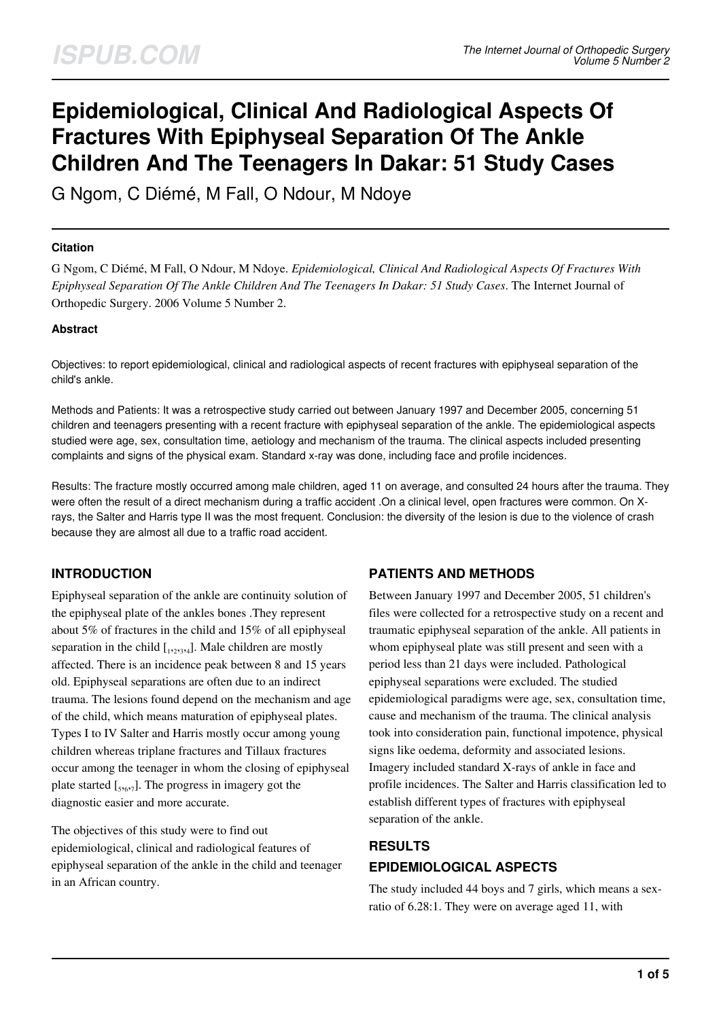# **Epidemiological, Clinical And Radiological Aspects Of Fractures With Epiphyseal Separation Of The Ankle Children And The Teenagers In Dakar: 51 Study Cases**

G Ngom, C Diémé, M Fall, O Ndour, M Ndoye

### **Citation**

G Ngom, C Diémé, M Fall, O Ndour, M Ndoye. *Epidemiological, Clinical And Radiological Aspects Of Fractures With Epiphyseal Separation Of The Ankle Children And The Teenagers In Dakar: 51 Study Cases*. The Internet Journal of Orthopedic Surgery. 2006 Volume 5 Number 2.

### **Abstract**

Objectives: to report epidemiological, clinical and radiological aspects of recent fractures with epiphyseal separation of the child's ankle.

Methods and Patients: It was a retrospective study carried out between January 1997 and December 2005, concerning 51 children and teenagers presenting with a recent fracture with epiphyseal separation of the ankle. The epidemiological aspects studied were age, sex, consultation time, aetiology and mechanism of the trauma. The clinical aspects included presenting complaints and signs of the physical exam. Standard x-ray was done, including face and profile incidences.

Results: The fracture mostly occurred among male children, aged 11 on average, and consulted 24 hours after the trauma. They were often the result of a direct mechanism during a traffic accident .On a clinical level, open fractures were common. On Xrays, the Salter and Harris type II was the most frequent. Conclusion: the diversity of the lesion is due to the violence of crash because they are almost all due to a traffic road accident.

# **INTRODUCTION**

Epiphyseal separation of the ankle are continuity solution of the epiphyseal plate of the ankles bones .They represent about 5% of fractures in the child and 15% of all epiphyseal separation in the child  $\left[1, 2, 3, 4\right]$ . Male children are mostly affected. There is an incidence peak between 8 and 15 years old. Epiphyseal separations are often due to an indirect trauma. The lesions found depend on the mechanism and age of the child, which means maturation of epiphyseal plates. Types I to IV Salter and Harris mostly occur among young children whereas triplane fractures and Tillaux fractures occur among the teenager in whom the closing of epiphyseal plate started  $_{[5,6,7]}$ . The progress in imagery got the diagnostic easier and more accurate.

The objectives of this study were to find out epidemiological, clinical and radiological features of epiphyseal separation of the ankle in the child and teenager in an African country.

# **PATIENTS AND METHODS**

Between January 1997 and December 2005, 51 children's files were collected for a retrospective study on a recent and traumatic epiphyseal separation of the ankle. All patients in whom epiphyseal plate was still present and seen with a period less than 21 days were included. Pathological epiphyseal separations were excluded. The studied epidemiological paradigms were age, sex, consultation time, cause and mechanism of the trauma. The clinical analysis took into consideration pain, functional impotence, physical signs like oedema, deformity and associated lesions. Imagery included standard X-rays of ankle in face and profile incidences. The Salter and Harris classification led to establish different types of fractures with epiphyseal separation of the ankle.

# **RESULTS EPIDEMIOLOGICAL ASPECTS**

The study included 44 boys and 7 girls, which means a sexratio of 6.28:1. They were on average aged 11, with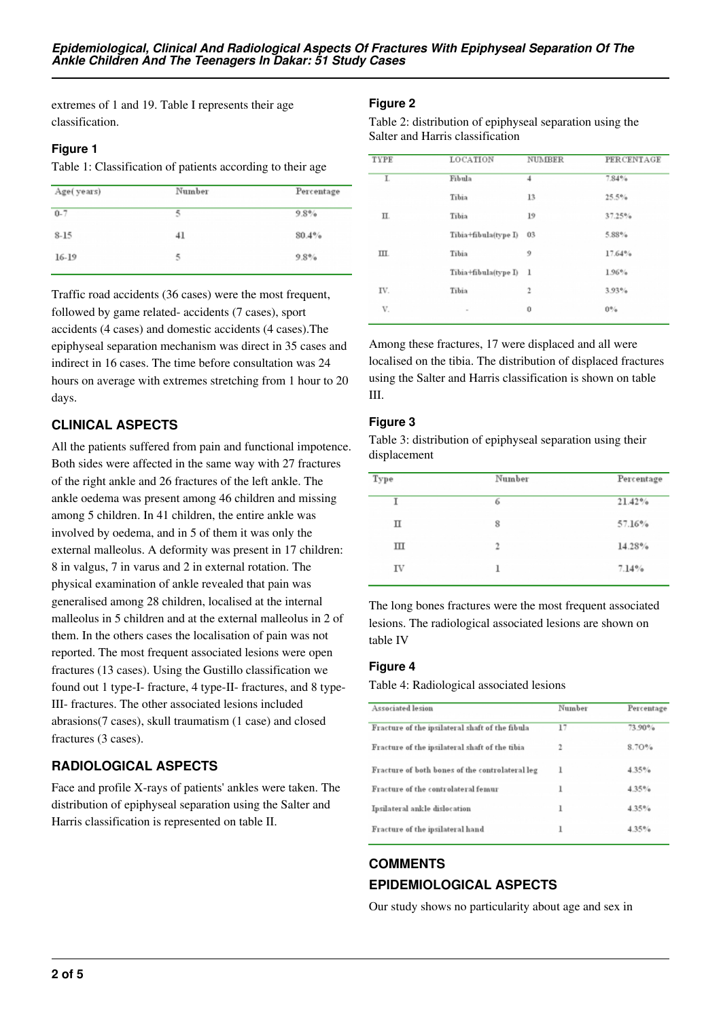extremes of 1 and 19. Table I represents their age classification.

### **Figure 1**

Table 1: Classification of patients according to their age

| Age(years) | Number | Percentage |
|------------|--------|------------|
| $0 - 7$    | 5      | 9.8%       |
| $8 - 15$   | 41     | 80.4%      |
| 16-19      | 5      | 9.8%       |

Traffic road accidents (36 cases) were the most frequent, followed by game related- accidents (7 cases), sport accidents (4 cases) and domestic accidents (4 cases).The epiphyseal separation mechanism was direct in 35 cases and indirect in 16 cases. The time before consultation was 24 hours on average with extremes stretching from 1 hour to 20 days.

# **CLINICAL ASPECTS**

All the patients suffered from pain and functional impotence. Both sides were affected in the same way with 27 fractures of the right ankle and 26 fractures of the left ankle. The ankle oedema was present among 46 children and missing among 5 children. In 41 children, the entire ankle was involved by oedema, and in 5 of them it was only the external malleolus. A deformity was present in 17 children: 8 in valgus, 7 in varus and 2 in external rotation. The physical examination of ankle revealed that pain was generalised among 28 children, localised at the internal malleolus in 5 children and at the external malleolus in 2 of them. In the others cases the localisation of pain was not reported. The most frequent associated lesions were open fractures (13 cases). Using the Gustillo classification we found out 1 type-I- fracture, 4 type-II- fractures, and 8 type-III- fractures. The other associated lesions included abrasions(7 cases), skull traumatism (1 case) and closed fractures (3 cases).

# **RADIOLOGICAL ASPECTS**

Face and profile X-rays of patients' ankles were taken. The distribution of epiphyseal separation using the Salter and Harris classification is represented on table II.

### **Figure 2**

Table 2: distribution of epiphyseal separation using the Salter and Harris classification

| TYPE | LOCATION             | <b>NUMBER</b>  | <b>PERCENTAGE</b> |
|------|----------------------|----------------|-------------------|
| I.   | Fibula               | $\overline{4}$ | 7.84%             |
|      | Tibia                | 13             | 25.5%             |
| П.   | Tibia                | 19             | 37.25%            |
|      | Tibia+fibula(type I) | 03             | 5.88%             |
| Ш.   | Tibia                | 9              | 17.64%            |
|      | Tibia+fibula(type I) | $\mathbf{1}$   | 1.96%             |
| IV.  | Tibia                | $\mathfrak{2}$ | 3.93%             |
| V.   | $\sim$               | 0              | $0\%$             |
|      |                      |                |                   |

Among these fractures, 17 were displaced and all were localised on the tibia. The distribution of displaced fractures using the Salter and Harris classification is shown on table III.

### **Figure 3**

Table 3: distribution of epiphyseal separation using their displacement

| 21.42% |
|--------|
| 57.16% |
| 14.28% |
| 7.14%  |
|        |

The long bones fractures were the most frequent associated lesions. The radiological associated lesions are shown on table IV

# **Figure 4**

Table 4: Radiological associated lesions

| Associated lesion                               | Number | Percentage |
|-------------------------------------------------|--------|------------|
| Fracture of the ipsilateral shaft of the fibula | 17     | 73.90%     |
| Fracture of the ipsilateral shaft of the tibia  | 2      | 8.70%      |
| Fracture of both bones of the controlateral leg | ı      | 4.35%      |
| Fracture of the controlateral femur             | ı      | 4.35%      |
| Ipsilateral ankle dislocation                   | ı      | 4.35%      |
| Fracture of the ipsilateral hand                | ı      | 4.35%      |

# **COMMENTS EPIDEMIOLOGICAL ASPECTS**

Our study shows no particularity about age and sex in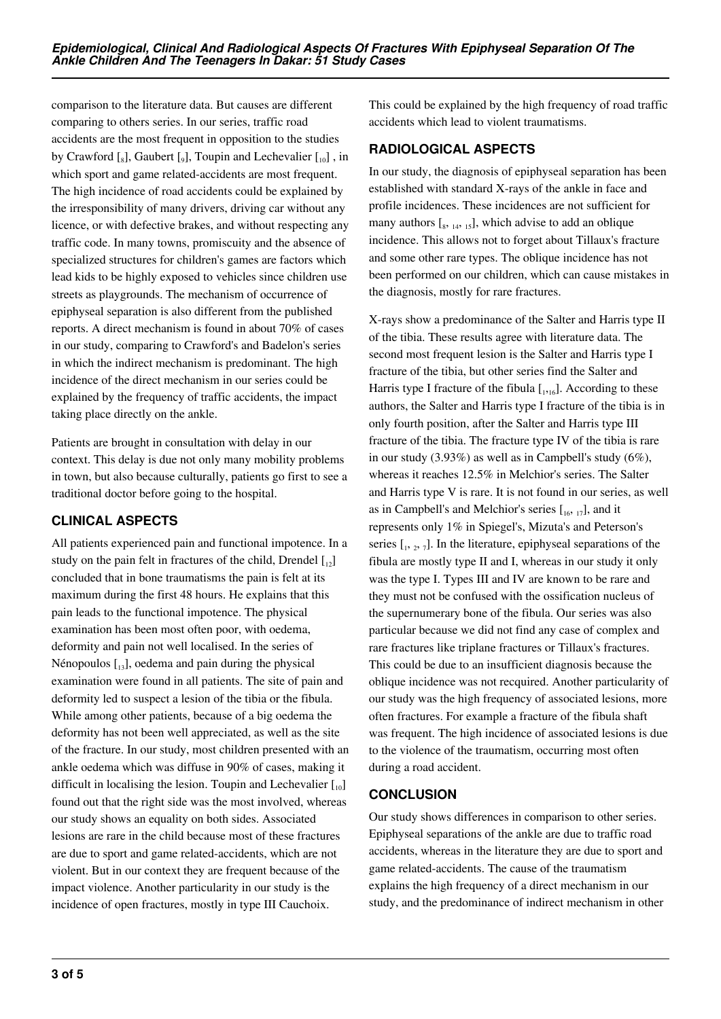comparison to the literature data. But causes are different comparing to others series. In our series, traffic road accidents are the most frequent in opposition to the studies by Crawford  $\left[\begin{smallmatrix}6\end{smallmatrix}\right]$ , Gaubert  $\left[\begin{smallmatrix}0\end{smallmatrix}\right]$ , Toupin and Lechevalier  $\left[\begin{smallmatrix}1&0\end{smallmatrix}\right]$ , in which sport and game related-accidents are most frequent. The high incidence of road accidents could be explained by the irresponsibility of many drivers, driving car without any licence, or with defective brakes, and without respecting any traffic code. In many towns, promiscuity and the absence of specialized structures for children's games are factors which lead kids to be highly exposed to vehicles since children use streets as playgrounds. The mechanism of occurrence of epiphyseal separation is also different from the published reports. A direct mechanism is found in about 70% of cases in our study, comparing to Crawford's and Badelon's series in which the indirect mechanism is predominant. The high incidence of the direct mechanism in our series could be explained by the frequency of traffic accidents, the impact taking place directly on the ankle.

Patients are brought in consultation with delay in our context. This delay is due not only many mobility problems in town, but also because culturally, patients go first to see a traditional doctor before going to the hospital.

# **CLINICAL ASPECTS**

All patients experienced pain and functional impotence. In a study on the pain felt in fractures of the child, Drendel  $\begin{bmatrix} 1 \\ 2 \end{bmatrix}$ concluded that in bone traumatisms the pain is felt at its maximum during the first 48 hours. He explains that this pain leads to the functional impotence. The physical examination has been most often poor, with oedema, deformity and pain not well localised. In the series of Nénopoulos  $\left[1, 1\right]$ , oedema and pain during the physical examination were found in all patients. The site of pain and deformity led to suspect a lesion of the tibia or the fibula. While among other patients, because of a big oedema the deformity has not been well appreciated, as well as the site of the fracture. In our study, most children presented with an ankle oedema which was diffuse in 90% of cases, making it difficult in localising the lesion. Toupin and Lechevalier  $\begin{bmatrix} 1 & 0 \\ 0 & 0 \end{bmatrix}$ found out that the right side was the most involved, whereas our study shows an equality on both sides. Associated lesions are rare in the child because most of these fractures are due to sport and game related-accidents, which are not violent. But in our context they are frequent because of the impact violence. Another particularity in our study is the incidence of open fractures, mostly in type III Cauchoix.

This could be explained by the high frequency of road traffic accidents which lead to violent traumatisms.

# **RADIOLOGICAL ASPECTS**

In our study, the diagnosis of epiphyseal separation has been established with standard X-rays of the ankle in face and profile incidences. These incidences are not sufficient for many authors  $[s, 14, 15]$ , which advise to add an oblique incidence. This allows not to forget about Tillaux's fracture and some other rare types. The oblique incidence has not been performed on our children, which can cause mistakes in the diagnosis, mostly for rare fractures.

X-rays show a predominance of the Salter and Harris type II of the tibia. These results agree with literature data. The second most frequent lesion is the Salter and Harris type I fracture of the tibia, but other series find the Salter and Harris type I fracture of the fibula  $\left[1,16\right]$ . According to these authors, the Salter and Harris type I fracture of the tibia is in only fourth position, after the Salter and Harris type III fracture of the tibia. The fracture type IV of the tibia is rare in our study (3.93%) as well as in Campbell's study (6%), whereas it reaches 12.5% in Melchior's series. The Salter and Harris type V is rare. It is not found in our series, as well as in Campbell's and Melchior's series  $[\,16, 17]$ , and it represents only 1% in Spiegel's, Mizuta's and Peterson's series  $\left[1, 2, 7\right]$ . In the literature, epiphyseal separations of the fibula are mostly type II and I, whereas in our study it only was the type I. Types III and IV are known to be rare and they must not be confused with the ossification nucleus of the supernumerary bone of the fibula. Our series was also particular because we did not find any case of complex and rare fractures like triplane fractures or Tillaux's fractures. This could be due to an insufficient diagnosis because the oblique incidence was not recquired. Another particularity of our study was the high frequency of associated lesions, more often fractures. For example a fracture of the fibula shaft was frequent. The high incidence of associated lesions is due to the violence of the traumatism, occurring most often during a road accident.

# **CONCLUSION**

Our study shows differences in comparison to other series. Epiphyseal separations of the ankle are due to traffic road accidents, whereas in the literature they are due to sport and game related-accidents. The cause of the traumatism explains the high frequency of a direct mechanism in our study, and the predominance of indirect mechanism in other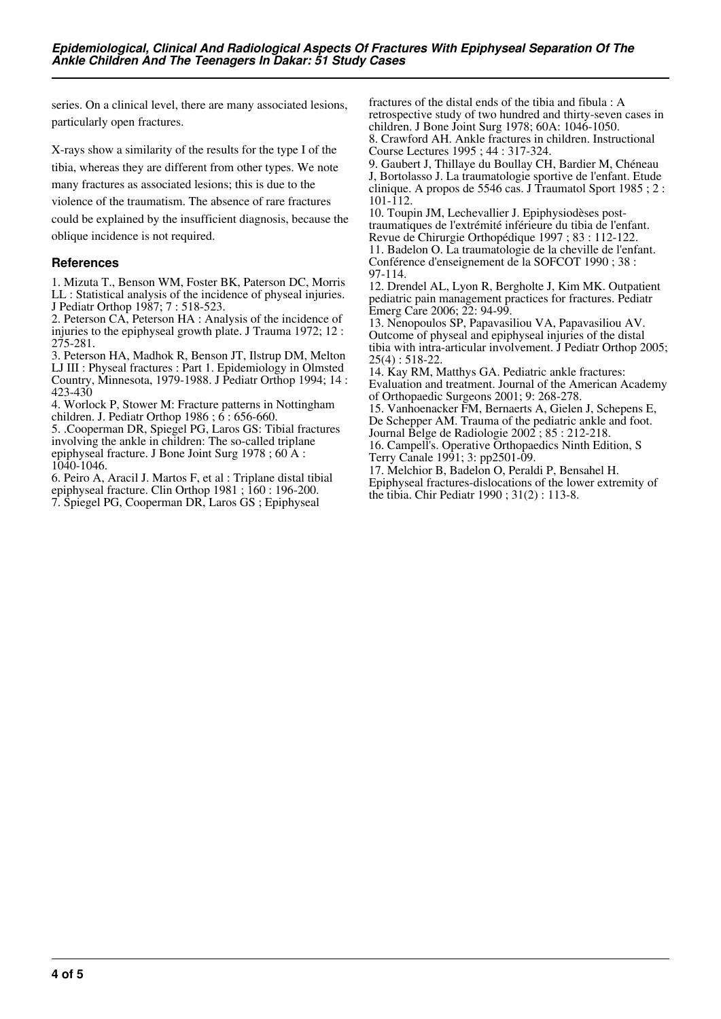series. On a clinical level, there are many associated lesions, particularly open fractures.

X-rays show a similarity of the results for the type I of the tibia, whereas they are different from other types. We note

many fractures as associated lesions; this is due to the

violence of the traumatism. The absence of rare fractures

could be explained by the insufficient diagnosis, because the oblique incidence is not required.

# **References**

1. Mizuta T., Benson WM, Foster BK, Paterson DC, Morris LL : Statistical analysis of the incidence of physeal injuries. J Pediatr Orthop 1987; 7 : 518-523.

2. Peterson CA, Peterson HA : Analysis of the incidence of injuries to the epiphyseal growth plate. J Trauma 1972; 12 : 275-281.

3. Peterson HA, Madhok R, Benson JT, Ilstrup DM, Melton LJ III : Physeal fractures : Part 1. Epidemiology in Olmsted Country, Minnesota, 1979-1988. J Pediatr Orthop 1994; 14 : 423-430

4. Worlock P, Stower M: Fracture patterns in Nottingham children. J. Pediatr Orthop 1986 ;  $\vec{6}$  : 656-660.

5. .Cooperman DR, Spiegel PG, Laros GS: Tibial fractures involving the ankle in children: The so-called triplane epiphyseal fracture. J Bone Joint Surg 1978 ; 60 A : 1040-1046.

6. Peiro A, Aracil J. Martos F, et al : Triplane distal tibial epiphyseal fracture. Clin Orthop 1981 ; 160 : 196-200. 7. Spiegel PG, Cooperman DR, Laros GS ; Epiphyseal

fractures of the distal ends of the tibia and fibula : A retrospective study of two hundred and thirty-seven cases in children. J Bone Joint Surg 1978; 60A: 1046-1050. 8. Crawford AH. Ankle fractures in children. Instructional Course Lectures 1995 ; 44 : 317-324.

9. Gaubert J, Thillaye du Boullay CH, Bardier M, Chéneau J, Bortolasso J. La traumatologie sportive de l'enfant. Etude clinique. A propos de 5546 cas. J Traumatol Sport 1985 ; 2 :  $101 - 112.$ 

10. Toupin JM, Lechevallier J. Epiphysiodèses posttraumatiques de l'extrémité inférieure du tibia de l'enfant. Revue de Chirurgie Orthopédique 1997 ; 83 : 112-122. 11. Badelon O. La traumatologie de la cheville de l'enfant. Conférence d'enseignement de la SOFCOT 1990 ; 38 : 97-114.

12. Drendel AL, Lyon R, Bergholte J, Kim MK. Outpatient pediatric pain management practices for fractures. Pediatr Emerg Care 2006; 22: 94-99.

13. Nenopoulos SP, Papavasiliou VA, Papavasiliou AV. Outcome of physeal and epiphyseal injuries of the distal tibia with intra-articular involvement. J Pediatr Orthop 2005; 25(4) : 518-22.

14. Kay RM, Matthys GA. Pediatric ankle fractures: Evaluation and treatment. Journal of the American Academy of Orthopaedic Surgeons 2001; 9: 268-278.

15. Vanhoenacker FM, Bernaerts A, Gielen J, Schepens E, De Schepper AM. Trauma of the pediatric ankle and foot. Journal Belge de Radiologie 2002 ; 85 : 212-218.

16. Campell's. Operative Orthopaedics Ninth Edition, S Terry Canale 1991; 3: pp2501-09.

17. Melchior B, Badelon O, Peraldi P, Bensahel H. Epiphyseal fractures-dislocations of the lower extremity of the tibia. Chir Pediatr 1990 ; 31(2) : 113-8.